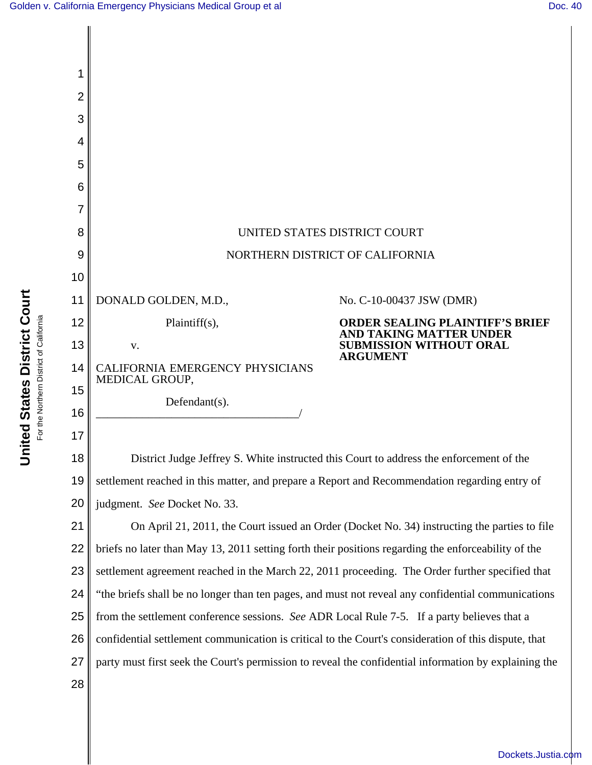

[Dockets.Justia.com](http://dockets.justia.com/)